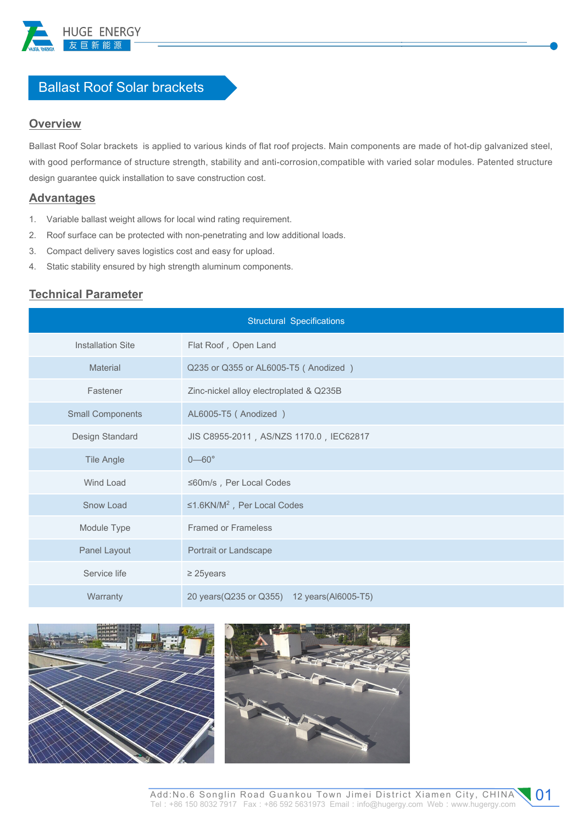

# Ballast Roof Solar brackets

### **Overview**

Ballast Roof Solar brackets is applied to various kinds of flat roof projects. Main components are made of hot-dip galvanized steel, with good performance of structure strength, stability and anti-corrosion,compatible with varied solar modules. Patented structure design guarantee quick installation to save construction cost.

- 1. Variable ballast weight allows for local wind rating requirement.
- 2. Roof surface can be protected with non-penetrating and low additional loads. **Advantages**<br>1. Variable ballast weight allows for local wind rating requirement.<br>2. Roof surface can be protected with non-penetrating and low additional loads.<br>3. Compact delivery saves logistics cost and easy for upload
- 3. Compact delivery saves logistics cost and easy for upload.
- 

## **Technical Parameter**

| <b>Structural Specifications</b> |                                              |
|----------------------------------|----------------------------------------------|
| <b>Installation Site</b>         | Flat Roof, Open Land                         |
| Material                         | Q235 or Q355 or AL6005-T5 (Anodized)         |
| Fastener                         | Zinc-nickel alloy electroplated & Q235B      |
| <b>Small Components</b>          | AL6005-T5 (Anodized)                         |
| Design Standard                  | JIS C8955-2011, AS/NZS 1170.0, IEC62817      |
| <b>Tile Angle</b>                | $0 - 60^\circ$                               |
| Wind Load                        | ≤60m/s, Per Local Codes                      |
| Snow Load                        | ≤1.6KN/M <sup>2</sup> , Per Local Codes      |
| Module Type                      | <b>Framed or Frameless</b>                   |
| Panel Layout                     | Portrait or Landscape                        |
| Service life                     | $\geq$ 25years                               |
| Warranty                         | 20 years (Q235 or Q355) 12 years (Al6005-T5) |